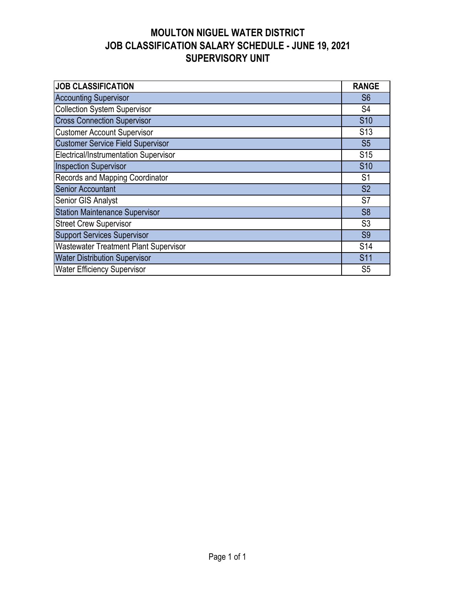## **MOULTON NIGUEL WATER DISTRICT JOB CLASSIFICATION SALARY SCHEDULE - JUNE 19, 2021 SUPERVISORY UNIT**

| <b>JOB CLASSIFICATION</b>                    | <b>RANGE</b>    |  |  |  |  |  |  |  |
|----------------------------------------------|-----------------|--|--|--|--|--|--|--|
| <b>Accounting Supervisor</b>                 | S <sub>6</sub>  |  |  |  |  |  |  |  |
| <b>Collection System Supervisor</b>          |                 |  |  |  |  |  |  |  |
| <b>Cross Connection Supervisor</b>           | S <sub>10</sub> |  |  |  |  |  |  |  |
| <b>Customer Account Supervisor</b>           | S <sub>13</sub> |  |  |  |  |  |  |  |
| <b>Customer Service Field Supervisor</b>     | S <sub>5</sub>  |  |  |  |  |  |  |  |
| Electrical/Instrumentation Supervisor        | S <sub>15</sub> |  |  |  |  |  |  |  |
| <b>Inspection Supervisor</b>                 | <b>S10</b>      |  |  |  |  |  |  |  |
| Records and Mapping Coordinator              |                 |  |  |  |  |  |  |  |
| <b>Senior Accountant</b>                     |                 |  |  |  |  |  |  |  |
| Senior GIS Analyst                           | S7              |  |  |  |  |  |  |  |
| <b>Station Maintenance Supervisor</b>        | S <sub>8</sub>  |  |  |  |  |  |  |  |
| <b>Street Crew Supervisor</b>                | S <sub>3</sub>  |  |  |  |  |  |  |  |
| <b>Support Services Supervisor</b>           | S <sub>9</sub>  |  |  |  |  |  |  |  |
| <b>Wastewater Treatment Plant Supervisor</b> | S <sub>14</sub> |  |  |  |  |  |  |  |
| <b>Water Distribution Supervisor</b>         | <b>S11</b>      |  |  |  |  |  |  |  |
| <b>Water Efficiency Supervisor</b>           | S <sub>5</sub>  |  |  |  |  |  |  |  |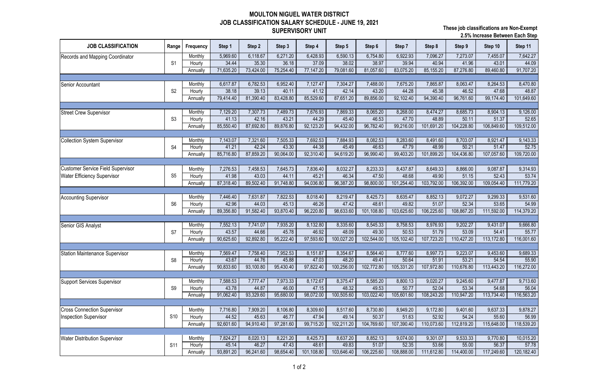## **MOULTON NIGUEL WATER DISTRICT JOB CLASSIFICATION SALARY SCHEDULE - JUNE 19, 2021 SUPERVISORY UNIT**

| 5,969.60<br>7,642.27<br>6,118.67<br>6,271.20<br>6,428.93<br>6,590.13<br>6,754.80<br>6,922.93<br>7,096.27<br>7,273.07<br>7,455.07<br>Monthly<br>36.18<br>35.30<br>37.09<br>38.02<br>38.97<br>41.96<br>44.09<br>34.44<br>39.94<br>40.94<br>43.01<br>S <sub>1</sub><br>Hourly<br>77,147.20<br>81,057.60<br>83,075.20<br>87,276.80<br>91,707.20<br>71,635.20<br>73,424.00<br>75,254.40<br>89,460.80<br>79,081.60<br>85,155.20<br>Annually<br>8,063.47<br>6,617.87<br>6,782.53<br>6,952.40<br>7,127.47<br>7,304.27<br>7,488.00<br>7,865.87<br>8,264.53<br>8,470.80<br>7,675.20<br>Monthly<br>Senior Accountant<br>S <sub>2</sub><br>38.18<br>39.13<br>40.11<br>41.12<br>42.14<br>43.20<br>44.28<br>45.38<br>46.52<br>47.68<br>48.87<br>Hourly<br>81,390.40<br>83,428.80<br>85,529.60<br>89,856.00<br>92,102.40<br>94,390.40<br>96,761.60<br>99,174.40<br>101,649.60<br>79,414.40<br>87,651.20<br>Annually<br>7,129.20<br>7,869.33<br>8,268.00<br>9,126.00<br>7,307.73<br>7,489.73<br>7,676.93<br>8,065.20<br>8,474.27<br>8,685.73<br>8,904.13<br>Monthly<br><b>Street Crew Supervisor</b><br>42.16<br>43.21<br>46.53<br>50.11<br>52.65<br>41.13<br>44.29<br>47.70<br>48.89<br>51.37<br>S <sub>3</sub><br>45.40<br>Hourly<br>92,123.20<br>99,216.00<br>104,228.80<br>87,692.80<br>89,876.80<br>94,432.00<br>96,782.40<br>101,691.20<br>106,849.60<br>109,512.00<br>85,550.40<br>Annually<br>7,143.07<br>7,321.60<br>7,505.33<br>7,692.53<br>8,082.53<br>8,283.60<br>8,703.07<br>9,143.33<br>7,884.93<br>8,491.60<br>8,921.47<br>Monthly<br><b>Collection System Supervisor</b><br>52.75<br>41.21<br>42.24<br>43.30<br>44.38<br>46.63<br>47.79<br>48.99<br>50.21<br>45.49<br>51.47<br>S <sub>4</sub><br>Hourly<br>99,403.20<br>90,064.00<br>92,310.40<br>96,990.40<br>104,436.80<br>109,720.00<br>85,716.80<br>87,859.20<br>94,619.20<br>101,899.20<br>107,057.60<br>Annually<br>7,645.73<br>8,866.00<br>9,314.93<br>Monthly<br>7,276.53<br>7,458.53<br>7,836.40<br>8,032.27<br>8,233.33<br>8,437.87<br>8,649.33<br>9,087.87<br>53.74<br>S <sub>5</sub><br>43.03<br>44.11<br>46.34<br>47.50<br>48.68<br>51.15<br>52.43<br>41.98<br>45.21<br>49.90<br>Hourly<br>94,036.80<br>98,800.00<br>106,392.00<br>87,318.40<br>89,502.40<br>91,748.80<br>96,387.20<br>101,254.40<br>109,054.40<br>111,779.20<br>103,792.00<br>Annually<br>7,822.53<br>9,531.60<br>7,631.87<br>8,018.40<br>8,219.47<br>8,425.73<br>8,635.47<br>8,852.13<br>9,072.27<br>9,299.33<br>7,446.40<br>Monthly<br>52.34<br>54.99<br>42.96<br>44.03<br>45.13<br>46.26<br>48.61<br>49.82<br>53.65<br>S <sub>6</sub><br>47.42<br>51.07<br>Hourly<br>91,582.40<br>93,870.40<br>96,220.80<br>98,633.60<br>101,108.80<br>103,625.60<br>106,225.60<br>108,867.20<br>114,379.20<br>89,356.80<br>111,592.00<br>Annually<br>7,552.13<br>7,935.20<br>8,132.80<br>8,545.33<br>8,758.53<br>8,976.93<br>9,202.27<br>9,666.80<br>7,741.07<br>8,335.60<br>9,431.07<br>Monthly<br>Senior GIS Analyst<br>45.78<br>51.79<br>53.09<br>55.77<br>43.57<br>44.66<br>46.92<br>48.09<br>49.30<br>50.53<br>54.41<br>S7<br>Hourly<br>90,625.60<br>92,892.80<br>95,222.40<br>97,593.60<br>100,027.20<br>102,544.00<br>105,102.40<br>110,427.20<br>113,172.80<br>116,001.60<br>107,723.20<br>Annually<br>7,569.47<br>7,952.53<br>8,354.67<br>8,564.40<br>8,777.60<br>8,997.73<br>9,223.07<br>9,453.60<br>9,689.33<br>Monthly<br>7,758.40<br>8,151.87<br>Station Maintenance Supervisor<br>43.67<br>44.76<br>45.88<br>47.03<br>48.20<br>49.41<br>50.64<br>53.21<br>55.90<br>51.91<br>54.54<br>S <sub>8</sub><br>Hourly<br>95,430.40<br>97,822.40<br>90,833.60<br>93,100.80<br>100,256.00<br>102,772.80<br>105,331.20<br>107,972.80<br>110,676.80<br>113,443.20<br>116,272.00<br>Annually<br>8,800.13<br>9,713.60<br>7,588.53<br>7,973.33<br>8,172.67<br>8,375.47<br>8,585.20<br>9,020.27<br>9,245.60<br>9,477.87<br>7,777.47<br>Monthly<br>Support Services Supervisor<br>44.87<br>53.34<br>56.04<br>43.78<br>46.00<br>47.15<br>48.32<br>49.53<br>50.77<br>52.04<br>54.68<br>S <sub>9</sub><br>Hourly<br>91,062.40<br>93,329.60<br>95,680.00<br>98,072.00<br>103,022.40<br>105,601.60<br>110,947.20<br>100,505.60<br>108,243.20<br>113,734.40<br>116,563.20<br>Annually<br><b>Cross Connection Supervisor</b><br>7,716.80<br>7,909.20<br>8,106.80<br>8,309.60<br>8,730.80<br>9,401.60<br>9,637.33<br>8,517.60<br>8,949.20<br>9,172.80<br>9,878.27<br>Monthly<br>S <sub>10</sub><br>45.63<br>46.77<br>50.37<br>51.63<br>54.24<br>56.99<br><b>Inspection Supervisor</b><br>44.52<br>47.94<br>49.14<br>52.92<br>55.60<br>Hourly<br>92,601.60<br>97,281.60<br>99,715.20<br>102,211.20<br>104,769.60<br>107,390.40<br>112,819.20<br>94,910.40<br>110,073.60<br>115,648.00<br>118,539.20<br>Annually | <b>JOB CLASSIFICATION</b>                | Range | Frequency | Step 1   | Step 2   | Step 3   | Step 4   | Step 5   | Step 6   | Step 7   | Step 8   | Step 9   | Step 10  | Step 11   |
|-----------------------------------------------------------------------------------------------------------------------------------------------------------------------------------------------------------------------------------------------------------------------------------------------------------------------------------------------------------------------------------------------------------------------------------------------------------------------------------------------------------------------------------------------------------------------------------------------------------------------------------------------------------------------------------------------------------------------------------------------------------------------------------------------------------------------------------------------------------------------------------------------------------------------------------------------------------------------------------------------------------------------------------------------------------------------------------------------------------------------------------------------------------------------------------------------------------------------------------------------------------------------------------------------------------------------------------------------------------------------------------------------------------------------------------------------------------------------------------------------------------------------------------------------------------------------------------------------------------------------------------------------------------------------------------------------------------------------------------------------------------------------------------------------------------------------------------------------------------------------------------------------------------------------------------------------------------------------------------------------------------------------------------------------------------------------------------------------------------------------------------------------------------------------------------------------------------------------------------------------------------------------------------------------------------------------------------------------------------------------------------------------------------------------------------------------------------------------------------------------------------------------------------------------------------------------------------------------------------------------------------------------------------------------------------------------------------------------------------------------------------------------------------------------------------------------------------------------------------------------------------------------------------------------------------------------------------------------------------------------------------------------------------------------------------------------------------------------------------------------------------------------------------------------------------------------------------------------------------------------------------------------------------------------------------------------------------------------------------------------------------------------------------------------------------------------------------------------------------------------------------------------------------------------------------------------------------------------------------------------------------------------------------------------------------------------------------------------------------------------------------------------------------------------------------------------------------------------------------------------------------------------------------------------------------------------------------------------------------------------------------------------------------------------------------------------------------------------------------------------------------------------------------------------------------------------------------------------------------------------------------------------------------------------------------------------------------------------------------------------------------------------------------------------------------------------------------------------------------------------------------------------------------------------------------------------------------------------------------------------------------------------------------------------------------------------------------------------|------------------------------------------|-------|-----------|----------|----------|----------|----------|----------|----------|----------|----------|----------|----------|-----------|
|                                                                                                                                                                                                                                                                                                                                                                                                                                                                                                                                                                                                                                                                                                                                                                                                                                                                                                                                                                                                                                                                                                                                                                                                                                                                                                                                                                                                                                                                                                                                                                                                                                                                                                                                                                                                                                                                                                                                                                                                                                                                                                                                                                                                                                                                                                                                                                                                                                                                                                                                                                                                                                                                                                                                                                                                                                                                                                                                                                                                                                                                                                                                                                                                                                                                                                                                                                                                                                                                                                                                                                                                                                                                                                                                                                                                                                                                                                                                                                                                                                                                                                                                                                                                                                                                                                                                                                                                                                                                                                                                                                                                                                                                                                                       | Records and Mapping Coordinator          |       |           |          |          |          |          |          |          |          |          |          |          |           |
|                                                                                                                                                                                                                                                                                                                                                                                                                                                                                                                                                                                                                                                                                                                                                                                                                                                                                                                                                                                                                                                                                                                                                                                                                                                                                                                                                                                                                                                                                                                                                                                                                                                                                                                                                                                                                                                                                                                                                                                                                                                                                                                                                                                                                                                                                                                                                                                                                                                                                                                                                                                                                                                                                                                                                                                                                                                                                                                                                                                                                                                                                                                                                                                                                                                                                                                                                                                                                                                                                                                                                                                                                                                                                                                                                                                                                                                                                                                                                                                                                                                                                                                                                                                                                                                                                                                                                                                                                                                                                                                                                                                                                                                                                                                       |                                          |       |           |          |          |          |          |          |          |          |          |          |          |           |
|                                                                                                                                                                                                                                                                                                                                                                                                                                                                                                                                                                                                                                                                                                                                                                                                                                                                                                                                                                                                                                                                                                                                                                                                                                                                                                                                                                                                                                                                                                                                                                                                                                                                                                                                                                                                                                                                                                                                                                                                                                                                                                                                                                                                                                                                                                                                                                                                                                                                                                                                                                                                                                                                                                                                                                                                                                                                                                                                                                                                                                                                                                                                                                                                                                                                                                                                                                                                                                                                                                                                                                                                                                                                                                                                                                                                                                                                                                                                                                                                                                                                                                                                                                                                                                                                                                                                                                                                                                                                                                                                                                                                                                                                                                                       |                                          |       |           |          |          |          |          |          |          |          |          |          |          |           |
|                                                                                                                                                                                                                                                                                                                                                                                                                                                                                                                                                                                                                                                                                                                                                                                                                                                                                                                                                                                                                                                                                                                                                                                                                                                                                                                                                                                                                                                                                                                                                                                                                                                                                                                                                                                                                                                                                                                                                                                                                                                                                                                                                                                                                                                                                                                                                                                                                                                                                                                                                                                                                                                                                                                                                                                                                                                                                                                                                                                                                                                                                                                                                                                                                                                                                                                                                                                                                                                                                                                                                                                                                                                                                                                                                                                                                                                                                                                                                                                                                                                                                                                                                                                                                                                                                                                                                                                                                                                                                                                                                                                                                                                                                                                       |                                          |       |           |          |          |          |          |          |          |          |          |          |          |           |
|                                                                                                                                                                                                                                                                                                                                                                                                                                                                                                                                                                                                                                                                                                                                                                                                                                                                                                                                                                                                                                                                                                                                                                                                                                                                                                                                                                                                                                                                                                                                                                                                                                                                                                                                                                                                                                                                                                                                                                                                                                                                                                                                                                                                                                                                                                                                                                                                                                                                                                                                                                                                                                                                                                                                                                                                                                                                                                                                                                                                                                                                                                                                                                                                                                                                                                                                                                                                                                                                                                                                                                                                                                                                                                                                                                                                                                                                                                                                                                                                                                                                                                                                                                                                                                                                                                                                                                                                                                                                                                                                                                                                                                                                                                                       |                                          |       |           |          |          |          |          |          |          |          |          |          |          |           |
|                                                                                                                                                                                                                                                                                                                                                                                                                                                                                                                                                                                                                                                                                                                                                                                                                                                                                                                                                                                                                                                                                                                                                                                                                                                                                                                                                                                                                                                                                                                                                                                                                                                                                                                                                                                                                                                                                                                                                                                                                                                                                                                                                                                                                                                                                                                                                                                                                                                                                                                                                                                                                                                                                                                                                                                                                                                                                                                                                                                                                                                                                                                                                                                                                                                                                                                                                                                                                                                                                                                                                                                                                                                                                                                                                                                                                                                                                                                                                                                                                                                                                                                                                                                                                                                                                                                                                                                                                                                                                                                                                                                                                                                                                                                       |                                          |       |           |          |          |          |          |          |          |          |          |          |          |           |
|                                                                                                                                                                                                                                                                                                                                                                                                                                                                                                                                                                                                                                                                                                                                                                                                                                                                                                                                                                                                                                                                                                                                                                                                                                                                                                                                                                                                                                                                                                                                                                                                                                                                                                                                                                                                                                                                                                                                                                                                                                                                                                                                                                                                                                                                                                                                                                                                                                                                                                                                                                                                                                                                                                                                                                                                                                                                                                                                                                                                                                                                                                                                                                                                                                                                                                                                                                                                                                                                                                                                                                                                                                                                                                                                                                                                                                                                                                                                                                                                                                                                                                                                                                                                                                                                                                                                                                                                                                                                                                                                                                                                                                                                                                                       |                                          |       |           |          |          |          |          |          |          |          |          |          |          |           |
|                                                                                                                                                                                                                                                                                                                                                                                                                                                                                                                                                                                                                                                                                                                                                                                                                                                                                                                                                                                                                                                                                                                                                                                                                                                                                                                                                                                                                                                                                                                                                                                                                                                                                                                                                                                                                                                                                                                                                                                                                                                                                                                                                                                                                                                                                                                                                                                                                                                                                                                                                                                                                                                                                                                                                                                                                                                                                                                                                                                                                                                                                                                                                                                                                                                                                                                                                                                                                                                                                                                                                                                                                                                                                                                                                                                                                                                                                                                                                                                                                                                                                                                                                                                                                                                                                                                                                                                                                                                                                                                                                                                                                                                                                                                       |                                          |       |           |          |          |          |          |          |          |          |          |          |          |           |
|                                                                                                                                                                                                                                                                                                                                                                                                                                                                                                                                                                                                                                                                                                                                                                                                                                                                                                                                                                                                                                                                                                                                                                                                                                                                                                                                                                                                                                                                                                                                                                                                                                                                                                                                                                                                                                                                                                                                                                                                                                                                                                                                                                                                                                                                                                                                                                                                                                                                                                                                                                                                                                                                                                                                                                                                                                                                                                                                                                                                                                                                                                                                                                                                                                                                                                                                                                                                                                                                                                                                                                                                                                                                                                                                                                                                                                                                                                                                                                                                                                                                                                                                                                                                                                                                                                                                                                                                                                                                                                                                                                                                                                                                                                                       |                                          |       |           |          |          |          |          |          |          |          |          |          |          |           |
|                                                                                                                                                                                                                                                                                                                                                                                                                                                                                                                                                                                                                                                                                                                                                                                                                                                                                                                                                                                                                                                                                                                                                                                                                                                                                                                                                                                                                                                                                                                                                                                                                                                                                                                                                                                                                                                                                                                                                                                                                                                                                                                                                                                                                                                                                                                                                                                                                                                                                                                                                                                                                                                                                                                                                                                                                                                                                                                                                                                                                                                                                                                                                                                                                                                                                                                                                                                                                                                                                                                                                                                                                                                                                                                                                                                                                                                                                                                                                                                                                                                                                                                                                                                                                                                                                                                                                                                                                                                                                                                                                                                                                                                                                                                       |                                          |       |           |          |          |          |          |          |          |          |          |          |          |           |
|                                                                                                                                                                                                                                                                                                                                                                                                                                                                                                                                                                                                                                                                                                                                                                                                                                                                                                                                                                                                                                                                                                                                                                                                                                                                                                                                                                                                                                                                                                                                                                                                                                                                                                                                                                                                                                                                                                                                                                                                                                                                                                                                                                                                                                                                                                                                                                                                                                                                                                                                                                                                                                                                                                                                                                                                                                                                                                                                                                                                                                                                                                                                                                                                                                                                                                                                                                                                                                                                                                                                                                                                                                                                                                                                                                                                                                                                                                                                                                                                                                                                                                                                                                                                                                                                                                                                                                                                                                                                                                                                                                                                                                                                                                                       |                                          |       |           |          |          |          |          |          |          |          |          |          |          |           |
|                                                                                                                                                                                                                                                                                                                                                                                                                                                                                                                                                                                                                                                                                                                                                                                                                                                                                                                                                                                                                                                                                                                                                                                                                                                                                                                                                                                                                                                                                                                                                                                                                                                                                                                                                                                                                                                                                                                                                                                                                                                                                                                                                                                                                                                                                                                                                                                                                                                                                                                                                                                                                                                                                                                                                                                                                                                                                                                                                                                                                                                                                                                                                                                                                                                                                                                                                                                                                                                                                                                                                                                                                                                                                                                                                                                                                                                                                                                                                                                                                                                                                                                                                                                                                                                                                                                                                                                                                                                                                                                                                                                                                                                                                                                       |                                          |       |           |          |          |          |          |          |          |          |          |          |          |           |
|                                                                                                                                                                                                                                                                                                                                                                                                                                                                                                                                                                                                                                                                                                                                                                                                                                                                                                                                                                                                                                                                                                                                                                                                                                                                                                                                                                                                                                                                                                                                                                                                                                                                                                                                                                                                                                                                                                                                                                                                                                                                                                                                                                                                                                                                                                                                                                                                                                                                                                                                                                                                                                                                                                                                                                                                                                                                                                                                                                                                                                                                                                                                                                                                                                                                                                                                                                                                                                                                                                                                                                                                                                                                                                                                                                                                                                                                                                                                                                                                                                                                                                                                                                                                                                                                                                                                                                                                                                                                                                                                                                                                                                                                                                                       |                                          |       |           |          |          |          |          |          |          |          |          |          |          |           |
|                                                                                                                                                                                                                                                                                                                                                                                                                                                                                                                                                                                                                                                                                                                                                                                                                                                                                                                                                                                                                                                                                                                                                                                                                                                                                                                                                                                                                                                                                                                                                                                                                                                                                                                                                                                                                                                                                                                                                                                                                                                                                                                                                                                                                                                                                                                                                                                                                                                                                                                                                                                                                                                                                                                                                                                                                                                                                                                                                                                                                                                                                                                                                                                                                                                                                                                                                                                                                                                                                                                                                                                                                                                                                                                                                                                                                                                                                                                                                                                                                                                                                                                                                                                                                                                                                                                                                                                                                                                                                                                                                                                                                                                                                                                       |                                          |       |           |          |          |          |          |          |          |          |          |          |          |           |
|                                                                                                                                                                                                                                                                                                                                                                                                                                                                                                                                                                                                                                                                                                                                                                                                                                                                                                                                                                                                                                                                                                                                                                                                                                                                                                                                                                                                                                                                                                                                                                                                                                                                                                                                                                                                                                                                                                                                                                                                                                                                                                                                                                                                                                                                                                                                                                                                                                                                                                                                                                                                                                                                                                                                                                                                                                                                                                                                                                                                                                                                                                                                                                                                                                                                                                                                                                                                                                                                                                                                                                                                                                                                                                                                                                                                                                                                                                                                                                                                                                                                                                                                                                                                                                                                                                                                                                                                                                                                                                                                                                                                                                                                                                                       |                                          |       |           |          |          |          |          |          |          |          |          |          |          |           |
|                                                                                                                                                                                                                                                                                                                                                                                                                                                                                                                                                                                                                                                                                                                                                                                                                                                                                                                                                                                                                                                                                                                                                                                                                                                                                                                                                                                                                                                                                                                                                                                                                                                                                                                                                                                                                                                                                                                                                                                                                                                                                                                                                                                                                                                                                                                                                                                                                                                                                                                                                                                                                                                                                                                                                                                                                                                                                                                                                                                                                                                                                                                                                                                                                                                                                                                                                                                                                                                                                                                                                                                                                                                                                                                                                                                                                                                                                                                                                                                                                                                                                                                                                                                                                                                                                                                                                                                                                                                                                                                                                                                                                                                                                                                       | <b>Customer Service Field Supervisor</b> |       |           |          |          |          |          |          |          |          |          |          |          |           |
|                                                                                                                                                                                                                                                                                                                                                                                                                                                                                                                                                                                                                                                                                                                                                                                                                                                                                                                                                                                                                                                                                                                                                                                                                                                                                                                                                                                                                                                                                                                                                                                                                                                                                                                                                                                                                                                                                                                                                                                                                                                                                                                                                                                                                                                                                                                                                                                                                                                                                                                                                                                                                                                                                                                                                                                                                                                                                                                                                                                                                                                                                                                                                                                                                                                                                                                                                                                                                                                                                                                                                                                                                                                                                                                                                                                                                                                                                                                                                                                                                                                                                                                                                                                                                                                                                                                                                                                                                                                                                                                                                                                                                                                                                                                       | <b>Water Efficiency Supervisor</b>       |       |           |          |          |          |          |          |          |          |          |          |          |           |
|                                                                                                                                                                                                                                                                                                                                                                                                                                                                                                                                                                                                                                                                                                                                                                                                                                                                                                                                                                                                                                                                                                                                                                                                                                                                                                                                                                                                                                                                                                                                                                                                                                                                                                                                                                                                                                                                                                                                                                                                                                                                                                                                                                                                                                                                                                                                                                                                                                                                                                                                                                                                                                                                                                                                                                                                                                                                                                                                                                                                                                                                                                                                                                                                                                                                                                                                                                                                                                                                                                                                                                                                                                                                                                                                                                                                                                                                                                                                                                                                                                                                                                                                                                                                                                                                                                                                                                                                                                                                                                                                                                                                                                                                                                                       |                                          |       |           |          |          |          |          |          |          |          |          |          |          |           |
|                                                                                                                                                                                                                                                                                                                                                                                                                                                                                                                                                                                                                                                                                                                                                                                                                                                                                                                                                                                                                                                                                                                                                                                                                                                                                                                                                                                                                                                                                                                                                                                                                                                                                                                                                                                                                                                                                                                                                                                                                                                                                                                                                                                                                                                                                                                                                                                                                                                                                                                                                                                                                                                                                                                                                                                                                                                                                                                                                                                                                                                                                                                                                                                                                                                                                                                                                                                                                                                                                                                                                                                                                                                                                                                                                                                                                                                                                                                                                                                                                                                                                                                                                                                                                                                                                                                                                                                                                                                                                                                                                                                                                                                                                                                       |                                          |       |           |          |          |          |          |          |          |          |          |          |          |           |
|                                                                                                                                                                                                                                                                                                                                                                                                                                                                                                                                                                                                                                                                                                                                                                                                                                                                                                                                                                                                                                                                                                                                                                                                                                                                                                                                                                                                                                                                                                                                                                                                                                                                                                                                                                                                                                                                                                                                                                                                                                                                                                                                                                                                                                                                                                                                                                                                                                                                                                                                                                                                                                                                                                                                                                                                                                                                                                                                                                                                                                                                                                                                                                                                                                                                                                                                                                                                                                                                                                                                                                                                                                                                                                                                                                                                                                                                                                                                                                                                                                                                                                                                                                                                                                                                                                                                                                                                                                                                                                                                                                                                                                                                                                                       | <b>Accounting Supervisor</b>             |       |           |          |          |          |          |          |          |          |          |          |          |           |
|                                                                                                                                                                                                                                                                                                                                                                                                                                                                                                                                                                                                                                                                                                                                                                                                                                                                                                                                                                                                                                                                                                                                                                                                                                                                                                                                                                                                                                                                                                                                                                                                                                                                                                                                                                                                                                                                                                                                                                                                                                                                                                                                                                                                                                                                                                                                                                                                                                                                                                                                                                                                                                                                                                                                                                                                                                                                                                                                                                                                                                                                                                                                                                                                                                                                                                                                                                                                                                                                                                                                                                                                                                                                                                                                                                                                                                                                                                                                                                                                                                                                                                                                                                                                                                                                                                                                                                                                                                                                                                                                                                                                                                                                                                                       |                                          |       |           |          |          |          |          |          |          |          |          |          |          |           |
|                                                                                                                                                                                                                                                                                                                                                                                                                                                                                                                                                                                                                                                                                                                                                                                                                                                                                                                                                                                                                                                                                                                                                                                                                                                                                                                                                                                                                                                                                                                                                                                                                                                                                                                                                                                                                                                                                                                                                                                                                                                                                                                                                                                                                                                                                                                                                                                                                                                                                                                                                                                                                                                                                                                                                                                                                                                                                                                                                                                                                                                                                                                                                                                                                                                                                                                                                                                                                                                                                                                                                                                                                                                                                                                                                                                                                                                                                                                                                                                                                                                                                                                                                                                                                                                                                                                                                                                                                                                                                                                                                                                                                                                                                                                       |                                          |       |           |          |          |          |          |          |          |          |          |          |          |           |
|                                                                                                                                                                                                                                                                                                                                                                                                                                                                                                                                                                                                                                                                                                                                                                                                                                                                                                                                                                                                                                                                                                                                                                                                                                                                                                                                                                                                                                                                                                                                                                                                                                                                                                                                                                                                                                                                                                                                                                                                                                                                                                                                                                                                                                                                                                                                                                                                                                                                                                                                                                                                                                                                                                                                                                                                                                                                                                                                                                                                                                                                                                                                                                                                                                                                                                                                                                                                                                                                                                                                                                                                                                                                                                                                                                                                                                                                                                                                                                                                                                                                                                                                                                                                                                                                                                                                                                                                                                                                                                                                                                                                                                                                                                                       |                                          |       |           |          |          |          |          |          |          |          |          |          |          |           |
|                                                                                                                                                                                                                                                                                                                                                                                                                                                                                                                                                                                                                                                                                                                                                                                                                                                                                                                                                                                                                                                                                                                                                                                                                                                                                                                                                                                                                                                                                                                                                                                                                                                                                                                                                                                                                                                                                                                                                                                                                                                                                                                                                                                                                                                                                                                                                                                                                                                                                                                                                                                                                                                                                                                                                                                                                                                                                                                                                                                                                                                                                                                                                                                                                                                                                                                                                                                                                                                                                                                                                                                                                                                                                                                                                                                                                                                                                                                                                                                                                                                                                                                                                                                                                                                                                                                                                                                                                                                                                                                                                                                                                                                                                                                       |                                          |       |           |          |          |          |          |          |          |          |          |          |          |           |
|                                                                                                                                                                                                                                                                                                                                                                                                                                                                                                                                                                                                                                                                                                                                                                                                                                                                                                                                                                                                                                                                                                                                                                                                                                                                                                                                                                                                                                                                                                                                                                                                                                                                                                                                                                                                                                                                                                                                                                                                                                                                                                                                                                                                                                                                                                                                                                                                                                                                                                                                                                                                                                                                                                                                                                                                                                                                                                                                                                                                                                                                                                                                                                                                                                                                                                                                                                                                                                                                                                                                                                                                                                                                                                                                                                                                                                                                                                                                                                                                                                                                                                                                                                                                                                                                                                                                                                                                                                                                                                                                                                                                                                                                                                                       |                                          |       |           |          |          |          |          |          |          |          |          |          |          |           |
|                                                                                                                                                                                                                                                                                                                                                                                                                                                                                                                                                                                                                                                                                                                                                                                                                                                                                                                                                                                                                                                                                                                                                                                                                                                                                                                                                                                                                                                                                                                                                                                                                                                                                                                                                                                                                                                                                                                                                                                                                                                                                                                                                                                                                                                                                                                                                                                                                                                                                                                                                                                                                                                                                                                                                                                                                                                                                                                                                                                                                                                                                                                                                                                                                                                                                                                                                                                                                                                                                                                                                                                                                                                                                                                                                                                                                                                                                                                                                                                                                                                                                                                                                                                                                                                                                                                                                                                                                                                                                                                                                                                                                                                                                                                       |                                          |       |           |          |          |          |          |          |          |          |          |          |          |           |
|                                                                                                                                                                                                                                                                                                                                                                                                                                                                                                                                                                                                                                                                                                                                                                                                                                                                                                                                                                                                                                                                                                                                                                                                                                                                                                                                                                                                                                                                                                                                                                                                                                                                                                                                                                                                                                                                                                                                                                                                                                                                                                                                                                                                                                                                                                                                                                                                                                                                                                                                                                                                                                                                                                                                                                                                                                                                                                                                                                                                                                                                                                                                                                                                                                                                                                                                                                                                                                                                                                                                                                                                                                                                                                                                                                                                                                                                                                                                                                                                                                                                                                                                                                                                                                                                                                                                                                                                                                                                                                                                                                                                                                                                                                                       |                                          |       |           |          |          |          |          |          |          |          |          |          |          |           |
|                                                                                                                                                                                                                                                                                                                                                                                                                                                                                                                                                                                                                                                                                                                                                                                                                                                                                                                                                                                                                                                                                                                                                                                                                                                                                                                                                                                                                                                                                                                                                                                                                                                                                                                                                                                                                                                                                                                                                                                                                                                                                                                                                                                                                                                                                                                                                                                                                                                                                                                                                                                                                                                                                                                                                                                                                                                                                                                                                                                                                                                                                                                                                                                                                                                                                                                                                                                                                                                                                                                                                                                                                                                                                                                                                                                                                                                                                                                                                                                                                                                                                                                                                                                                                                                                                                                                                                                                                                                                                                                                                                                                                                                                                                                       |                                          |       |           |          |          |          |          |          |          |          |          |          |          |           |
|                                                                                                                                                                                                                                                                                                                                                                                                                                                                                                                                                                                                                                                                                                                                                                                                                                                                                                                                                                                                                                                                                                                                                                                                                                                                                                                                                                                                                                                                                                                                                                                                                                                                                                                                                                                                                                                                                                                                                                                                                                                                                                                                                                                                                                                                                                                                                                                                                                                                                                                                                                                                                                                                                                                                                                                                                                                                                                                                                                                                                                                                                                                                                                                                                                                                                                                                                                                                                                                                                                                                                                                                                                                                                                                                                                                                                                                                                                                                                                                                                                                                                                                                                                                                                                                                                                                                                                                                                                                                                                                                                                                                                                                                                                                       |                                          |       |           |          |          |          |          |          |          |          |          |          |          |           |
|                                                                                                                                                                                                                                                                                                                                                                                                                                                                                                                                                                                                                                                                                                                                                                                                                                                                                                                                                                                                                                                                                                                                                                                                                                                                                                                                                                                                                                                                                                                                                                                                                                                                                                                                                                                                                                                                                                                                                                                                                                                                                                                                                                                                                                                                                                                                                                                                                                                                                                                                                                                                                                                                                                                                                                                                                                                                                                                                                                                                                                                                                                                                                                                                                                                                                                                                                                                                                                                                                                                                                                                                                                                                                                                                                                                                                                                                                                                                                                                                                                                                                                                                                                                                                                                                                                                                                                                                                                                                                                                                                                                                                                                                                                                       |                                          |       |           |          |          |          |          |          |          |          |          |          |          |           |
|                                                                                                                                                                                                                                                                                                                                                                                                                                                                                                                                                                                                                                                                                                                                                                                                                                                                                                                                                                                                                                                                                                                                                                                                                                                                                                                                                                                                                                                                                                                                                                                                                                                                                                                                                                                                                                                                                                                                                                                                                                                                                                                                                                                                                                                                                                                                                                                                                                                                                                                                                                                                                                                                                                                                                                                                                                                                                                                                                                                                                                                                                                                                                                                                                                                                                                                                                                                                                                                                                                                                                                                                                                                                                                                                                                                                                                                                                                                                                                                                                                                                                                                                                                                                                                                                                                                                                                                                                                                                                                                                                                                                                                                                                                                       |                                          |       |           |          |          |          |          |          |          |          |          |          |          |           |
|                                                                                                                                                                                                                                                                                                                                                                                                                                                                                                                                                                                                                                                                                                                                                                                                                                                                                                                                                                                                                                                                                                                                                                                                                                                                                                                                                                                                                                                                                                                                                                                                                                                                                                                                                                                                                                                                                                                                                                                                                                                                                                                                                                                                                                                                                                                                                                                                                                                                                                                                                                                                                                                                                                                                                                                                                                                                                                                                                                                                                                                                                                                                                                                                                                                                                                                                                                                                                                                                                                                                                                                                                                                                                                                                                                                                                                                                                                                                                                                                                                                                                                                                                                                                                                                                                                                                                                                                                                                                                                                                                                                                                                                                                                                       |                                          |       |           |          |          |          |          |          |          |          |          |          |          |           |
|                                                                                                                                                                                                                                                                                                                                                                                                                                                                                                                                                                                                                                                                                                                                                                                                                                                                                                                                                                                                                                                                                                                                                                                                                                                                                                                                                                                                                                                                                                                                                                                                                                                                                                                                                                                                                                                                                                                                                                                                                                                                                                                                                                                                                                                                                                                                                                                                                                                                                                                                                                                                                                                                                                                                                                                                                                                                                                                                                                                                                                                                                                                                                                                                                                                                                                                                                                                                                                                                                                                                                                                                                                                                                                                                                                                                                                                                                                                                                                                                                                                                                                                                                                                                                                                                                                                                                                                                                                                                                                                                                                                                                                                                                                                       |                                          |       |           |          |          |          |          |          |          |          |          |          |          |           |
|                                                                                                                                                                                                                                                                                                                                                                                                                                                                                                                                                                                                                                                                                                                                                                                                                                                                                                                                                                                                                                                                                                                                                                                                                                                                                                                                                                                                                                                                                                                                                                                                                                                                                                                                                                                                                                                                                                                                                                                                                                                                                                                                                                                                                                                                                                                                                                                                                                                                                                                                                                                                                                                                                                                                                                                                                                                                                                                                                                                                                                                                                                                                                                                                                                                                                                                                                                                                                                                                                                                                                                                                                                                                                                                                                                                                                                                                                                                                                                                                                                                                                                                                                                                                                                                                                                                                                                                                                                                                                                                                                                                                                                                                                                                       |                                          |       |           |          |          |          |          |          |          |          |          |          |          |           |
|                                                                                                                                                                                                                                                                                                                                                                                                                                                                                                                                                                                                                                                                                                                                                                                                                                                                                                                                                                                                                                                                                                                                                                                                                                                                                                                                                                                                                                                                                                                                                                                                                                                                                                                                                                                                                                                                                                                                                                                                                                                                                                                                                                                                                                                                                                                                                                                                                                                                                                                                                                                                                                                                                                                                                                                                                                                                                                                                                                                                                                                                                                                                                                                                                                                                                                                                                                                                                                                                                                                                                                                                                                                                                                                                                                                                                                                                                                                                                                                                                                                                                                                                                                                                                                                                                                                                                                                                                                                                                                                                                                                                                                                                                                                       |                                          |       |           |          |          |          |          |          |          |          |          |          |          |           |
|                                                                                                                                                                                                                                                                                                                                                                                                                                                                                                                                                                                                                                                                                                                                                                                                                                                                                                                                                                                                                                                                                                                                                                                                                                                                                                                                                                                                                                                                                                                                                                                                                                                                                                                                                                                                                                                                                                                                                                                                                                                                                                                                                                                                                                                                                                                                                                                                                                                                                                                                                                                                                                                                                                                                                                                                                                                                                                                                                                                                                                                                                                                                                                                                                                                                                                                                                                                                                                                                                                                                                                                                                                                                                                                                                                                                                                                                                                                                                                                                                                                                                                                                                                                                                                                                                                                                                                                                                                                                                                                                                                                                                                                                                                                       |                                          |       |           |          |          |          |          |          |          |          |          |          |          |           |
|                                                                                                                                                                                                                                                                                                                                                                                                                                                                                                                                                                                                                                                                                                                                                                                                                                                                                                                                                                                                                                                                                                                                                                                                                                                                                                                                                                                                                                                                                                                                                                                                                                                                                                                                                                                                                                                                                                                                                                                                                                                                                                                                                                                                                                                                                                                                                                                                                                                                                                                                                                                                                                                                                                                                                                                                                                                                                                                                                                                                                                                                                                                                                                                                                                                                                                                                                                                                                                                                                                                                                                                                                                                                                                                                                                                                                                                                                                                                                                                                                                                                                                                                                                                                                                                                                                                                                                                                                                                                                                                                                                                                                                                                                                                       |                                          |       |           |          |          |          |          |          |          |          |          |          |          |           |
|                                                                                                                                                                                                                                                                                                                                                                                                                                                                                                                                                                                                                                                                                                                                                                                                                                                                                                                                                                                                                                                                                                                                                                                                                                                                                                                                                                                                                                                                                                                                                                                                                                                                                                                                                                                                                                                                                                                                                                                                                                                                                                                                                                                                                                                                                                                                                                                                                                                                                                                                                                                                                                                                                                                                                                                                                                                                                                                                                                                                                                                                                                                                                                                                                                                                                                                                                                                                                                                                                                                                                                                                                                                                                                                                                                                                                                                                                                                                                                                                                                                                                                                                                                                                                                                                                                                                                                                                                                                                                                                                                                                                                                                                                                                       |                                          |       |           |          |          |          |          |          |          |          |          |          |          |           |
|                                                                                                                                                                                                                                                                                                                                                                                                                                                                                                                                                                                                                                                                                                                                                                                                                                                                                                                                                                                                                                                                                                                                                                                                                                                                                                                                                                                                                                                                                                                                                                                                                                                                                                                                                                                                                                                                                                                                                                                                                                                                                                                                                                                                                                                                                                                                                                                                                                                                                                                                                                                                                                                                                                                                                                                                                                                                                                                                                                                                                                                                                                                                                                                                                                                                                                                                                                                                                                                                                                                                                                                                                                                                                                                                                                                                                                                                                                                                                                                                                                                                                                                                                                                                                                                                                                                                                                                                                                                                                                                                                                                                                                                                                                                       | <b>Water Distribution Supervisor</b>     |       | Monthly   | 7,824.27 | 8,020.13 | 8,221.20 | 8,425.73 | 8,637.20 | 8,852.13 | 9,074.00 | 9,301.07 | 9,533.33 | 9,770.80 | 10,015.20 |
| 46.27<br>47.43<br>51.07<br>52.35<br>53.66<br>55.00<br>56.37<br>45.14<br>48.61<br>49.83<br>57.78<br>S <sub>11</sub><br>Hourly                                                                                                                                                                                                                                                                                                                                                                                                                                                                                                                                                                                                                                                                                                                                                                                                                                                                                                                                                                                                                                                                                                                                                                                                                                                                                                                                                                                                                                                                                                                                                                                                                                                                                                                                                                                                                                                                                                                                                                                                                                                                                                                                                                                                                                                                                                                                                                                                                                                                                                                                                                                                                                                                                                                                                                                                                                                                                                                                                                                                                                                                                                                                                                                                                                                                                                                                                                                                                                                                                                                                                                                                                                                                                                                                                                                                                                                                                                                                                                                                                                                                                                                                                                                                                                                                                                                                                                                                                                                                                                                                                                                          |                                          |       |           |          |          |          |          |          |          |          |          |          |          |           |
| 93,891.20<br>98,654.40<br>101,108.80<br>106,225.60<br>108,888.00<br>114,400.00<br>120,182.40<br>96,241.60<br>103,646.40<br>111,612.80<br>117,249.60<br>Annually                                                                                                                                                                                                                                                                                                                                                                                                                                                                                                                                                                                                                                                                                                                                                                                                                                                                                                                                                                                                                                                                                                                                                                                                                                                                                                                                                                                                                                                                                                                                                                                                                                                                                                                                                                                                                                                                                                                                                                                                                                                                                                                                                                                                                                                                                                                                                                                                                                                                                                                                                                                                                                                                                                                                                                                                                                                                                                                                                                                                                                                                                                                                                                                                                                                                                                                                                                                                                                                                                                                                                                                                                                                                                                                                                                                                                                                                                                                                                                                                                                                                                                                                                                                                                                                                                                                                                                                                                                                                                                                                                       |                                          |       |           |          |          |          |          |          |          |          |          |          |          |           |

**These job classifications are Non-Exempt 2.5% Increase Between Each Step**